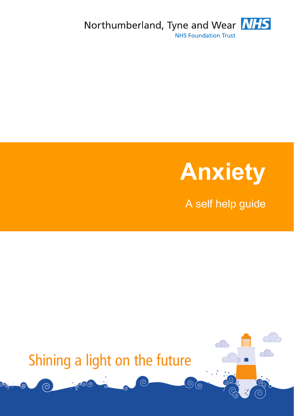



A self help guide

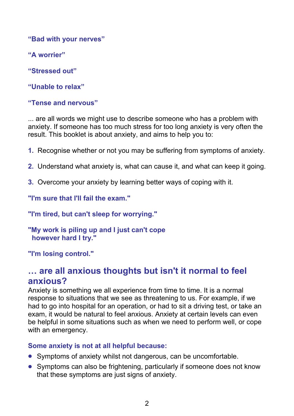**"Bad with your nerves"** 

**"A worrier"** 

**"Stressed out"** 

**"Unable to relax"** 

#### **"Tense and nervous"**

... are all words we might use to describe someone who has a problem with anxiety. If someone has too much stress for too long anxiety is very often the result. This booklet is about anxiety, and aims to help you to:

- **1.** Recognise whether or not you may be suffering from symptoms of anxiety.
- **2.** Understand what anxiety is, what can cause it, and what can keep it going.
- **3.** Overcome your anxiety by learning better ways of coping with it.

**"I'm sure that I'll fail the exam."** 

**"I'm tired, but can't sleep for worrying."** 

**"My work is piling up and I just can't cope however hard I try."** 

**"I'm losing control."**

#### **… are all anxious thoughts but isn't it normal to feel anxious?**

Anxiety is something we all experience from time to time. It is a normal response to situations that we see as threatening to us. For example, if we had to go into hospital for an operation, or had to sit a driving test, or take an exam, it would be natural to feel anxious. Anxiety at certain levels can even be helpful in some situations such as when we need to perform well, or cope with an emergency.

#### **Some anxiety is not at all helpful because:**

- Symptoms of anxiety whilst not dangerous, can be uncomfortable.
- Symptoms can also be frightening, particularly if someone does not know that these symptoms are just signs of anxiety.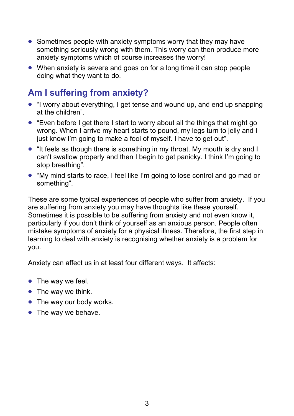- Sometimes people with anxiety symptoms worry that they may have something seriously wrong with them. This worry can then produce more anxiety symptoms which of course increases the worry!
- When anxiety is severe and goes on for a long time it can stop people doing what they want to do.

#### **Am I suffering from anxiety?**

- "I worry about everything, I get tense and wound up, and end up snapping at the children".
- "Even before I get there I start to worry about all the things that might go wrong. When I arrive my heart starts to pound, my legs turn to jelly and I just know I'm going to make a fool of myself. I have to get out".
- "It feels as though there is something in my throat. My mouth is dry and I can't swallow properly and then I begin to get panicky. I think I'm going to stop breathing".
- "My mind starts to race, I feel like I'm going to lose control and go mad or something".

These are some typical experiences of people who suffer from anxiety. If you are suffering from anxiety you may have thoughts like these yourself. Sometimes it is possible to be suffering from anxiety and not even know it, particularly if you don't think of yourself as an anxious person. People often mistake symptoms of anxiety for a physical illness. Therefore, the first step in learning to deal with anxiety is recognising whether anxiety is a problem for you.

Anxiety can affect us in at least four different ways. It affects:

- $\bullet$  The way we feel.
- $\bullet$  The way we think.
- The way our body works.
- The way we behave.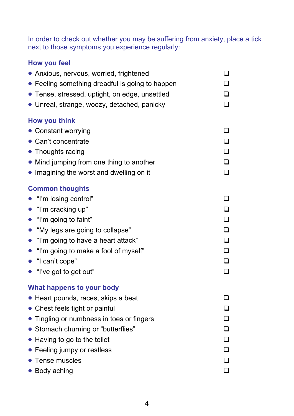In order to check out whether you may be suffering from anxiety, place a tick next to those symptoms you experience regularly:

#### **How you feel**

| • Anxious, nervous, worried, frightened         | $\Box$ |
|-------------------------------------------------|--------|
| • Feeling something dreadful is going to happen |        |
| • Tense, stressed, uptight, on edge, unsettled  | $\Box$ |
| • Unreal, strange, woozy, detached, panicky     | $\Box$ |
| <b>How you think</b>                            |        |
| • Constant worrying                             |        |
| • Can't concentrate                             |        |
| • Thoughts racing                               |        |
| • Mind jumping from one thing to another        | ❏      |
| • Imagining the worst and dwelling on it        | П      |
| <b>Common thoughts</b>                          |        |
| "I'm losing control"                            |        |
| • "I'm cracking up"                             | $\Box$ |
| $\bullet$ "I'm going to faint"                  | $\Box$ |
| "My legs are going to collapse"                 | □      |
| • "I'm going to have a heart attack"            | $\Box$ |
| • "I'm going to make a fool of myself"          | □      |
| $\bullet$ "I can't cope"                        |        |
| • "I've got to get out"                         |        |
| <b>What happens to your body</b>                |        |
| • Heart pounds, races, skips a beat             |        |
| Chest feels tight or painful                    |        |
| Tingling or numbness in toes or fingers         |        |
| • Stomach churning or "butterflies"             |        |
| Having to go to the toilet                      |        |
| Feeling jumpy or restless                       |        |
| Tense muscles                                   |        |
| • Body aching                                   |        |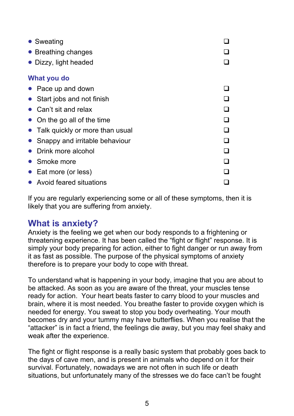| • Sweating                      |  |
|---------------------------------|--|
| • Breathing changes             |  |
| Dizzy, light headed             |  |
| What you do                     |  |
| Pace up and down                |  |
| Start jobs and not finish       |  |
| Can't sit and relax             |  |
| On the go all of the time       |  |
| Talk quickly or more than usual |  |
| Snappy and irritable behaviour  |  |
| Drink more alcohol              |  |
| Smoke more                      |  |
| Eat more (or less)              |  |
| • Avoid feared situations       |  |

If you are regularly experiencing some or all of these symptoms, then it is likely that you are suffering from anxiety.

#### **What is anxiety?**

Anxiety is the feeling we get when our body responds to a frightening or threatening experience. It has been called the "fight or flight" response. It is simply your body preparing for action, either to fight danger or run away from it as fast as possible. The purpose of the physical symptoms of anxiety therefore is to prepare your body to cope with threat.

To understand what is happening in your body, imagine that you are about to be attacked. As soon as you are aware of the threat, your muscles tense ready for action. Your heart beats faster to carry blood to your muscles and brain, where it is most needed. You breathe faster to provide oxygen which is needed for energy. You sweat to stop you body overheating. Your mouth becomes dry and your tummy may have butterflies. When you realise that the "attacker" is in fact a friend, the feelings die away, but you may feel shaky and weak after the experience.

The fight or flight response is a really basic system that probably goes back to the days of cave men, and is present in animals who depend on it for their survival. Fortunately, nowadays we are not often in such life or death situations, but unfortunately many of the stresses we do face can't be fought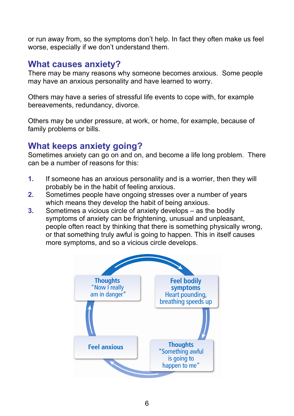or run away from, so the symptoms don't help. In fact they often make us feel worse, especially if we don't understand them.

#### **What causes anxiety?**

There may be many reasons why someone becomes anxious. Some people may have an anxious personality and have learned to worry.

 Others may have a series of stressful life events to cope with, for example bereavements, redundancy, divorce.

Others may be under pressure, at work, or home, for example, because of family problems or bills.

#### **What keeps anxiety going?**

Sometimes anxiety can go on and on, and become a life long problem. There can be a number of reasons for this:

- **1.** If someone has an anxious personality and is a worrier, then they will probably be in the habit of feeling anxious.
- **2.** Sometimes people have ongoing stresses over a number of years which means they develop the habit of being anxious.
- **3.** Sometimes a vicious circle of anxiety develops as the bodily symptoms of anxiety can be frightening, unusual and unpleasant, people often react by thinking that there is something physically wrong, or that something truly awful is going to happen. This in itself causes more symptoms, and so a vicious circle develops.

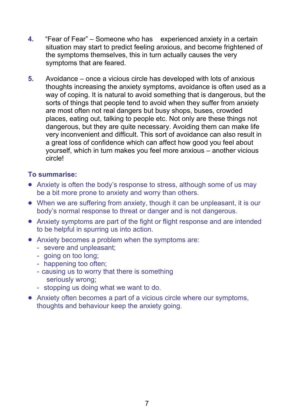- **4.** "Fear of Fear" Someone who has experienced anxiety in a certain situation may start to predict feeling anxious, and become frightened of the symptoms themselves, this in turn actually causes the very symptoms that are feared.
- **5.** Avoidance once a vicious circle has developed with lots of anxious thoughts increasing the anxiety symptoms, avoidance is often used as a way of coping. It is natural to avoid something that is dangerous, but the sorts of things that people tend to avoid when they suffer from anxiety are most often not real dangers but busy shops, buses, crowded places, eating out, talking to people etc. Not only are these things not dangerous, but they are quite necessary. Avoiding them can make life very inconvenient and difficult. This sort of avoidance can also result in a great loss of confidence which can affect how good you feel about yourself, which in turn makes you feel more anxious – another vicious circle!

#### **To summarise:**

- Anxiety is often the body's response to stress, although some of us may be a bit more prone to anxiety and worry than others.
- When we are suffering from anxiety, though it can be unpleasant, it is our body's normal response to threat or danger and is not dangerous.
- Anxiety symptoms are part of the fight or flight response and are intended to be helpful in spurring us into action.
- Anxiety becomes a problem when the symptoms are:
	- severe and unpleasant;
	- going on too long;
	- happening too often;
	- causing us to worry that there is something seriously wrong;
	- stopping us doing what we want to do.
- Anxiety often becomes a part of a vicious circle where our symptoms, thoughts and behaviour keep the anxiety going.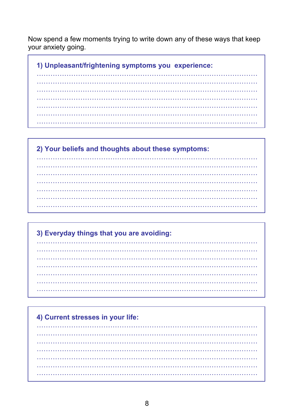Now spend a few moments trying to write down any of these ways that keep your anxiety going.

1) Unpleasant/frightening symptoms you experience:

. . . . . . . . . . . . . . . . . . a concerta de la

2) Your beliefs and thoughts about these symptoms: . . . . . . . . . . . . . . . . . . . . . . . . . .

3) Everyday things that you are avoiding: . . . . . . . . . . . . . . . .

# 4) Current stresses in your life: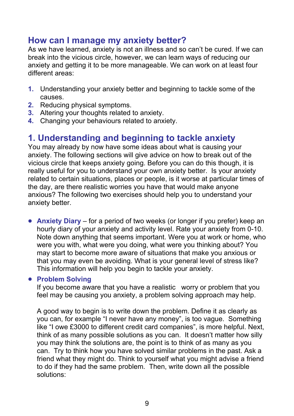#### **How can I manage my anxiety better?**

As we have learned, anxiety is not an illness and so can't be cured. If we can break into the vicious circle, however, we can learn ways of reducing our anxiety and getting it to be more manageable. We can work on at least four different areas:

- **1.** Understanding your anxiety better and beginning to tackle some of the causes.
- **2.** Reducing physical symptoms.
- **3.** Altering your thoughts related to anxiety.
- **4.** Changing your behaviours related to anxiety.

#### **1. Understanding and beginning to tackle anxiety**

You may already by now have some ideas about what is causing your anxiety. The following sections will give advice on how to break out of the vicious circle that keeps anxiety going. Before you can do this though, it is really useful for you to understand your own anxiety better. Is your anxiety related to certain situations, places or people, is it worse at particular times of the day, are there realistic worries you have that would make anyone anxious? The following two exercises should help you to understand your anxiety better.

 **Anxiety Diary** – for a period of two weeks (or longer if you prefer) keep an hourly diary of your anxiety and activity level. Rate your anxiety from 0-10. Note down anything that seems important. Were you at work or home, who were you with, what were you doing, what were you thinking about? You may start to become more aware of situations that make you anxious or that you may even be avoiding. What is your general level of stress like? This information will help you begin to tackle your anxiety.

#### **Problem Solving**

If you become aware that you have a realistic worry or problem that you feel may be causing you anxiety, a problem solving approach may help.

A good way to begin is to write down the problem. Define it as clearly as you can, for example "I never have any money", is too vague. Something like "I owe £3000 to different credit card companies", is more helpful. Next, think of as many possible solutions as you can. It doesn't matter how silly you may think the solutions are, the point is to think of as many as you can. Try to think how you have solved similar problems in the past. Ask a friend what they might do. Think to yourself what you might advise a friend to do if they had the same problem. Then, write down all the possible solutions: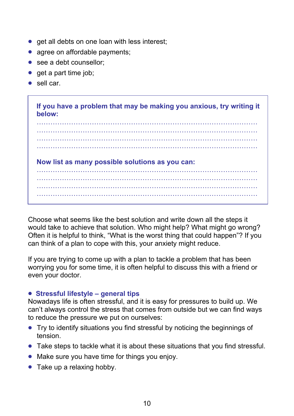- get all debts on one loan with less interest;
- agree on affordable payments;
- see a debt counsellor:
- $\bullet$  get a part time job:
- $\bullet$  sell car.

If you have a problem that may be making you anxious, try writing it below:

Now list as many possible solutions as you can:

Choose what seems like the best solution and write down all the steps it would take to achieve that solution. Who might help? What might go wrong? Often it is helpful to think, "What is the worst thing that could happen"? If you can think of a plan to cope with this, your anxiety might reduce.

If you are trying to come up with a plan to tackle a problem that has been worrying you for some time, it is often helpful to discuss this with a friend or even your doctor.

#### • Stressful lifestyle – general tips

Nowadays life is often stressful, and it is easy for pressures to build up. We can't always control the stress that comes from outside but we can find ways to reduce the pressure we put on ourselves:

- Try to identify situations you find stressful by noticing the beginnings of tension.
- Take steps to tackle what it is about these situations that you find stressful.
- Make sure you have time for things you enjoy.
- Take up a relaxing hobby.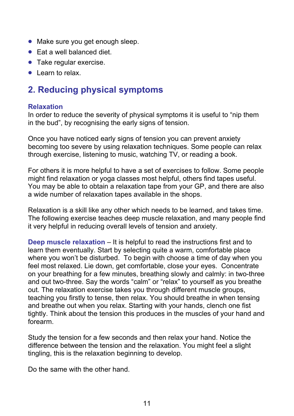- Make sure you get enough sleep.
- $\bullet$  Fat a well balanced diet.
- Take regular exercise.
- Learn to relax.

### **2. Reducing physical symptoms**

#### **Relaxation**

In order to reduce the severity of physical symptoms it is useful to "nip them in the bud", by recognising the early signs of tension.

Once you have noticed early signs of tension you can prevent anxiety becoming too severe by using relaxation techniques. Some people can relax through exercise, listening to music, watching TV, or reading a book.

For others it is more helpful to have a set of exercises to follow. Some people might find relaxation or yoga classes most helpful, others find tapes useful. You may be able to obtain a relaxation tape from your GP, and there are also a wide number of relaxation tapes available in the shops.

Relaxation is a skill like any other which needs to be learned, and takes time. The following exercise teaches deep muscle relaxation, and many people find it very helpful in reducing overall levels of tension and anxiety.

**Deep muscle relaxation** – It is helpful to read the instructions first and to learn them eventually. Start by selecting quite a warm, comfortable place where you won't be disturbed. To begin with choose a time of day when you feel most relaxed. Lie down, get comfortable, close your eyes. Concentrate on your breathing for a few minutes, breathing slowly and calmly: in two-three and out two-three. Say the words "calm" or "relax" to yourself as you breathe out. The relaxation exercise takes you through different muscle groups, teaching you firstly to tense, then relax. You should breathe in when tensing and breathe out when you relax. Starting with your hands, clench one fist tightly. Think about the tension this produces in the muscles of your hand and forearm.

Study the tension for a few seconds and then relax your hand. Notice the difference between the tension and the relaxation. You might feel a slight tingling, this is the relaxation beginning to develop.

Do the same with the other hand.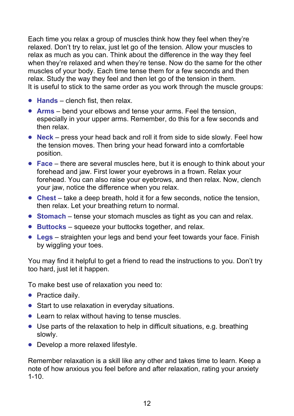Each time you relax a group of muscles think how they feel when they're relaxed. Don't try to relax, just let go of the tension. Allow your muscles to relax as much as you can. Think about the difference in the way they feel when they're relaxed and when they're tense. Now do the same for the other muscles of your body. Each time tense them for a few seconds and then relax. Study the way they feel and then let go of the tension in them. It is useful to stick to the same order as you work through the muscle groups:

- **Hands** clench fist, then relax.
- **Arms** bend your elbows and tense your arms. Feel the tension, especially in your upper arms. Remember, do this for a few seconds and then relax.
- **Neck** press your head back and roll it from side to side slowly. Feel how the tension moves. Then bring your head forward into a comfortable position.
- **Face** there are several muscles here, but it is enough to think about your forehead and jaw. First lower your eyebrows in a frown. Relax your forehead. You can also raise your eyebrows, and then relax. Now, clench your jaw, notice the difference when you relax.
- **Chest** take a deep breath, hold it for a few seconds, notice the tension, then relax. Let your breathing return to normal.
- **Stomach** tense your stomach muscles as tight as you can and relax.
- **Buttocks** squeeze your buttocks together, and relax.
- **Legs** straighten your legs and bend your feet towards your face. Finish by wiggling your toes.

You may find it helpful to get a friend to read the instructions to you. Don't try too hard, just let it happen.

To make best use of relaxation you need to:

- Practice daily.
- Start to use relaxation in everyday situations.
- Learn to relax without having to tense muscles.
- Use parts of the relaxation to help in difficult situations, e.g. breathing slowly.
- Develop a more relaxed lifestyle.

Remember relaxation is a skill like any other and takes time to learn. Keep a note of how anxious you feel before and after relaxation, rating your anxiety  $1 - 10$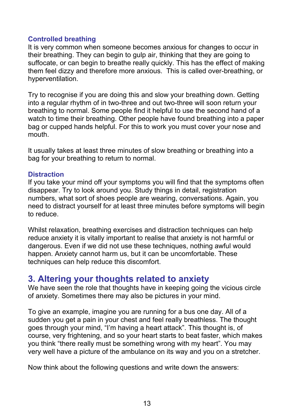#### **Controlled breathing**

It is very common when someone becomes anxious for changes to occur in their breathing. They can begin to gulp air, thinking that they are going to suffocate, or can begin to breathe really quickly. This has the effect of making them feel dizzy and therefore more anxious. This is called over-breathing, or hyperventilation.

Try to recognise if you are doing this and slow your breathing down. Getting into a regular rhythm of in two-three and out two-three will soon return your breathing to normal. Some people find it helpful to use the second hand of a watch to time their breathing. Other people have found breathing into a paper bag or cupped hands helpful. For this to work you must cover your nose and mouth.

It usually takes at least three minutes of slow breathing or breathing into a bag for your breathing to return to normal.

#### **Distraction**

If you take your mind off your symptoms you will find that the symptoms often disappear. Try to look around you. Study things in detail, registration numbers, what sort of shoes people are wearing, conversations. Again, you need to distract yourself for at least three minutes before symptoms will begin to reduce.

Whilst relaxation, breathing exercises and distraction techniques can help reduce anxiety it is vitally important to realise that anxiety is not harmful or dangerous. Even if we did not use these techniques, nothing awful would happen. Anxiety cannot harm us, but it can be uncomfortable. These techniques can help reduce this discomfort.

#### **3. Altering your thoughts related to anxiety**

We have seen the role that thoughts have in keeping going the vicious circle of anxiety. Sometimes there may also be pictures in your mind.

To give an example, imagine you are running for a bus one day. All of a sudden you get a pain in your chest and feel really breathless. The thought goes through your mind, "I'm having a heart attack". This thought is, of course, very frightening, and so your heart starts to beat faster, which makes you think "there really must be something wrong with my heart". You may very well have a picture of the ambulance on its way and you on a stretcher.

Now think about the following questions and write down the answers: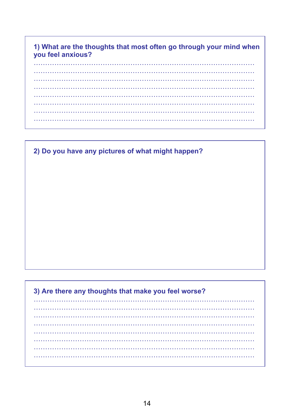#### 1) What are the thoughts that most often go through your mind when you feel anxious?

 $\mathbf{L}$ <u>. . . . . . . . . . . . .</u> . . . . . . . . . . . . . . . . . . . . . . . . . . . . . . . . . . . . . . . . . . . . . . . . 

2) Do you have any pictures of what might happen?

#### 3) Are there any thoughts that make you feel worse? . . . . . . . . . . . . . . . . . . . . . . . . . . . . . . . . . . . . . . . . . . . . . . . . . . . . . . . . . . . . . . . . . . . . . . . . . . . . . . . . . . . . . . . . . . . . . . . . . . . . . . . . . . . . .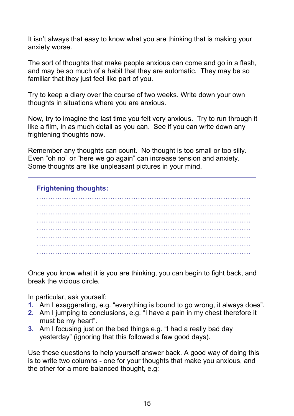It isn't always that easy to know what you are thinking that is making your anxiety worse.

The sort of thoughts that make people anxious can come and go in a flash, and may be so much of a habit that they are automatic. They may be so familiar that they just feel like part of you.

Try to keep a diary over the course of two weeks. Write down your own thoughts in situations where you are anxious.

Now, try to imagine the last time you felt very anxious. Try to run through it like a film, in as much detail as you can. See if you can write down any frightening thoughts now.

Remember any thoughts can count. No thought is too small or too silly. Even "oh no" or "here we go again" can increase tension and anxiety. Some thoughts are like unpleasant pictures in your mind.

**Frightening thoughts:** 

Once you know what it is you are thinking, you can begin to fight back, and break the vicious circle.

In particular, ask yourself:

- 1. Am I exaggerating, e.g. "everything is bound to go wrong, it always does".
- 2. Am I jumping to conclusions, e.g. "I have a pain in my chest therefore it must be my heart".
- 3. Am I focusing just on the bad things e.g. "I had a really bad day yesterday" (ignoring that this followed a few good days).

Use these questions to help yourself answer back. A good way of doing this is to write two columns - one for your thoughts that make you anxious, and the other for a more balanced thought, e.g.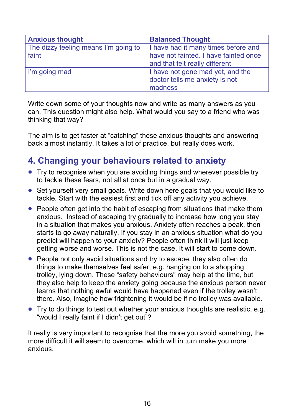| <b>Anxious thought</b>                        | <b>Balanced Thought</b>                                                                                        |
|-----------------------------------------------|----------------------------------------------------------------------------------------------------------------|
| The dizzy feeling means I'm going to<br>faint | I have had it many times before and<br>have not fainted. I have fainted once<br>and that felt really different |
| I'm going mad                                 | I have not gone mad yet, and the<br>doctor tells me anxiety is not<br>madness                                  |

Write down some of your thoughts now and write as many answers as you can. This question might also help. What would you say to a friend who was thinking that way?

The aim is to get faster at "catching" these anxious thoughts and answering back almost instantly. It takes a lot of practice, but really does work.

#### **4. Changing your behaviours related to anxiety**

- Try to recognise when you are avoiding things and wherever possible try to tackle these fears, not all at once but in a gradual way.
- Set yourself very small goals. Write down here goals that you would like to tackle. Start with the easiest first and tick off any activity you achieve.
- People often get into the habit of escaping from situations that make them anxious. Instead of escaping try gradually to increase how long you stay in a situation that makes you anxious. Anxiety often reaches a peak, then starts to go away naturally. If you stay in an anxious situation what do you predict will happen to your anxiety? People often think it will just keep getting worse and worse. This is not the case. It will start to come down.
- People not only avoid situations and try to escape, they also often do things to make themselves feel safer, e.g. hanging on to a shopping trolley, lying down. These "safety behaviours" may help at the time, but they also help to keep the anxiety going because the anxious person never learns that nothing awful would have happened even if the trolley wasn't there. Also, imagine how frightening it would be if no trolley was available.
- Try to do things to test out whether your anxious thoughts are realistic, e.g. "would I really faint if I didn't get out"?

It really is very important to recognise that the more you avoid something, the more difficult it will seem to overcome, which will in turn make you more anxious.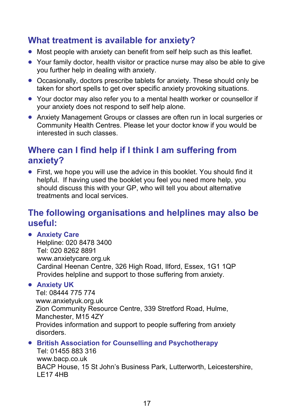#### **What treatment is available for anxiety?**

- Most people with anxiety can benefit from self help such as this leaflet.
- Your family doctor, health visitor or practice nurse may also be able to give you further help in dealing with anxiety.
- Occasionally, doctors prescribe tablets for anxiety. These should only be taken for short spells to get over specific anxiety provoking situations.
- Your doctor may also refer you to a mental health worker or counsellor if your anxiety does not respond to self help alone.
- Anxiety Management Groups or classes are often run in local surgeries or Community Health Centres. Please let your doctor know if you would be interested in such classes.

#### **Where can I find help if I think I am suffering from anxiety?**

• First, we hope you will use the advice in this booklet. You should find it helpful. If having used the booklet you feel you need more help, you should discuss this with your GP, who will tell you about alternative treatments and local services.

#### **The following organisations and helplines may also be useful:**

#### **Anxiety Care**

Helpline: 020 8478 3400 Tel: 020 8262 8891 www.anxietycare.org.uk Cardinal Heenan Centre, 326 High Road, Ilford, Essex, 1G1 1QP Provides helpline and support to those suffering from anxiety.

#### **Anxiety UK**

 Tel: 08444 775 774 www.anxietyuk.org.uk Zion Community Resource Centre, 339 Stretford Road, Hulme, Manchester, M15 4ZY Provides information and support to people suffering from anxiety disorders.

#### **British Association for Counselling and Psychotherapy**

Tel: 01455 883 316 www.bacp.co.uk BACP House, 15 St John's Business Park, Lutterworth, Leicestershire, LE17 4HB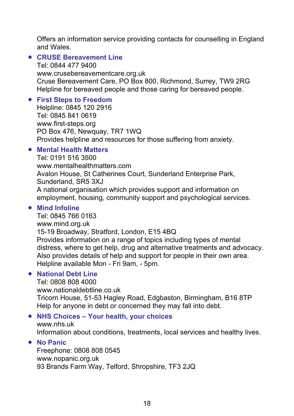Offers an information service providing contacts for counselling in England and Wales.

#### **CRUSE Bereavement Line**

Tel: 0844 477 9400 www.crusebereavementcare.org.uk Cruse Bereavement Care, PO Box 800, Richmond, Surrey, TW9 2RG Helpline for bereaved people and those caring for bereaved people.

#### **First Steps to Freedom**

Helpline: 0845 120 2916 Tel: 0845 841 0619 www.first-steps.org PO Box 476, Newquay, TR7 1WQ Provides helpline and resources for those suffering from anxiety.

#### **Mental Health Matters**

Tel: 0191 516 3500 www.mentalhealthmatters.com Avalon House, St Catherines Court, Sunderland Enterprise Park, Sunderland, SR5 3XJ A national organisation which provides support and information on employment, housing, community support and psychological services.

#### **Mind Infoline**

Tel: 0845 766 0163 www.mind.org.uk 15-19 Broadway, Stratford, London, E15 4BQ Provides information on a range of topics including types of mental distress, where to get help, drug and alternative treatments and advocacy. Also provides details of help and support for people in their own area. Helpline available Mon - Fri 9am, - 5pm.

#### **National Debt Line**

Tel: 0808 808 4000 www.nationaldebtline.co.uk Tricorn House, 51-53 Hagley Road, Edgbaston, Birmingham, B16 8TP Help for anyone in debt or concerned they may fall into debt.

#### **NHS Choices – Your health, your choices**  www.nhs.uk

Information about conditions, treatments, local services and healthy lives.

#### **No Panic**

Freephone: 0808 808 0545 www.nopanic.org.uk 93 Brands Farm Way, Telford, Shropshire, TF3 2JQ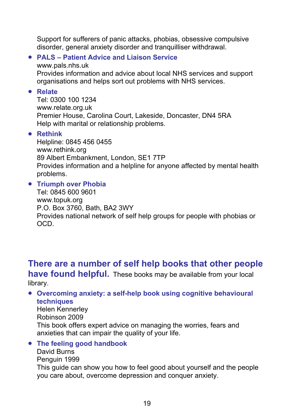Support for sufferers of panic attacks, phobias, obsessive compulsive disorder, general anxiety disorder and tranquilliser withdrawal.

#### **PALS – Patient Advice and Liaison Service**

www.pals.nhs.uk Provides information and advice about local NHS services and support organisations and helps sort out problems with NHS services.

**Relate** 

Tel: 0300 100 1234 www.relate.org.uk Premier House, Carolina Court, Lakeside, Doncaster, DN4 5RA Help with marital or relationship problems.

#### **Rethink**

Helpline: 0845 456 0455 www.rethink.org 89 Albert Embankment, London, SE1 7TP Provides information and a helpline for anyone affected by mental health problems.

#### **Triumph over Phobia**

Tel: 0845 600 9601 www.topuk.org P.O. Box 3760, Bath, BA2 3WY Provides national network of self help groups for people with phobias or OCD.

**There are a number of self help books that other people have found helpful.** These books may be available from your local library.

#### **Overcoming anxiety: a self-help book using cognitive behavioural techniques**

Helen Kennerley Robinson 2009 This book offers expert advice on managing the worries, fears and anxieties that can impair the quality of your life.

 **The feeling good handbook**  David Burns Penguin 1999 This guide can show you how to feel good about yourself and the people you care about, overcome depression and conquer anxiety.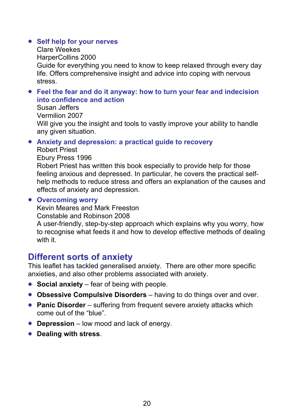#### **• Self help for your nerves**

Clare Weekes HarperCollins 2000 Guide for everything you need to know to keep relaxed through every day life. Offers comprehensive insight and advice into coping with nervous stress.

#### **Feel the fear and do it anyway: how to turn your fear and indecision into confidence and action**

Susan Jeffers Vermilion 2007 Will give you the insight and tools to vastly improve your ability to handle any given situation.

#### **Anxiety and depression: a practical guide to recovery**

- Robert Priest
- Ebury Press 1996

Robert Priest has written this book especially to provide help for those feeling anxious and depressed. In particular, he covers the practical selfhelp methods to reduce stress and offers an explanation of the causes and effects of anxiety and depression.

#### **Overcoming worry**

Kevin Meares and Mark Freeston

Constable and Robinson 2008

A user-friendly, step-by-step approach which explains why you worry, how to recognise what feeds it and how to develop effective methods of dealing with it.

#### **Different sorts of anxiety**

This leaflet has tackled generalised anxiety. There are other more specific anxieties, and also other problems associated with anxiety.

- **Social anxiety** fear of being with people.
- **Obsessive Compulsive Disorders** having to do things over and over.
- **Panic Disorder** suffering from frequent severe anxiety attacks which come out of the "blue".
- **Depression** low mood and lack of energy.
- **Dealing with stress**.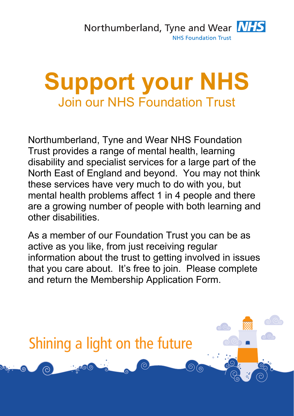

# **Support your NHS**  Join our NHS Foundation Trust

Northumberland, Tyne and Wear NHS Foundation Trust provides a range of mental health, learning disability and specialist services for a large part of the North East of England and beyond. You may not think these services have very much to do with you, but mental health problems affect 1 in 4 people and there are a growing number of people with both learning and other disabilities.

As a member of our Foundation Trust you can be as active as you like, from just receiving regular information about the trust to getting involved in issues that you care about. It's free to join. Please complete and return the Membership Application Form.

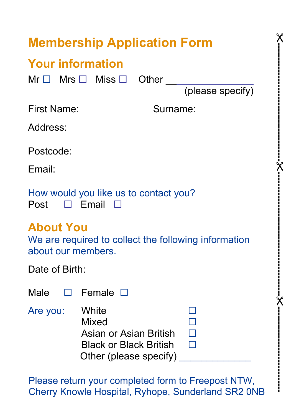## **Membership Application Form**

## **Your information**

 $Mr \Box$  Mrs  $\Box$  Miss  $\Box$  Other

(please specify)

 $\bm{\mathsf{\chi}}$ 

**----------------------------------------**

 $\bm{\mathsf{\chi}}$ 

**------------------------------------------**

 $\bm{\mathsf{\chi}}$ 

**-----------------------------** 

First Name: Surname:

Address:

Postcode:

Email:

|  | How would you like us to contact you? |  |  |
|--|---------------------------------------|--|--|
|  | Post $\Box$ Email $\Box$              |  |  |

### **About You**

We are required to collect the following information about our members.

|  | Date of Birth: |  |
|--|----------------|--|
|  |                |  |

|          | Male $\square$ Female $\square$                                                                            |  |
|----------|------------------------------------------------------------------------------------------------------------|--|
| Are you: | <b>White</b><br>Mixed<br>Asian or Asian British<br><b>Black or Black British</b><br>Other (please specify) |  |

Please return your completed form to Freepost NTW, Cherry Knowle Hospital, Ryhope, Sunderland SR2 0NB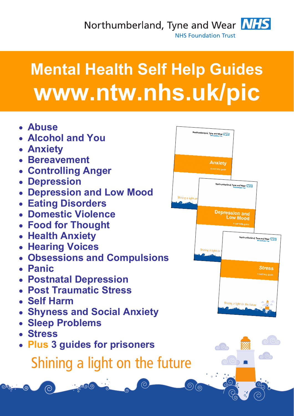Northumberland, Tyne and Wear NHS **NHS Foundation Trust** 



# **Mental Health Self Help Guides www.ntw.nhs.uk/pic**

- **Abuse**
- **Alcohol and You**
- **Anxiety**
- **Bereavement**
- **Controlling Anger**
- **Depression**
- **Depression and Low Mood**
- **Eating Disorders**
- **Domestic Violence**
- **Food for Thought**
- **Health Anxiety**
- **Hearing Voices**
- **Obsessions and Compulsions**
- **Panic**
- **Postnatal Depression**
- **Post Traumatic Stress**
- **Self Harm**

 $\odot$ 

 $\left($ 

- **Shyness and Social Anxiety**
- **Sleep Problems**
- **Stress**
- **Plus 3 guides for prisoners**

# Shining a light on the future



 $\Omega_{\rm O}$ 

000

 $\circ$